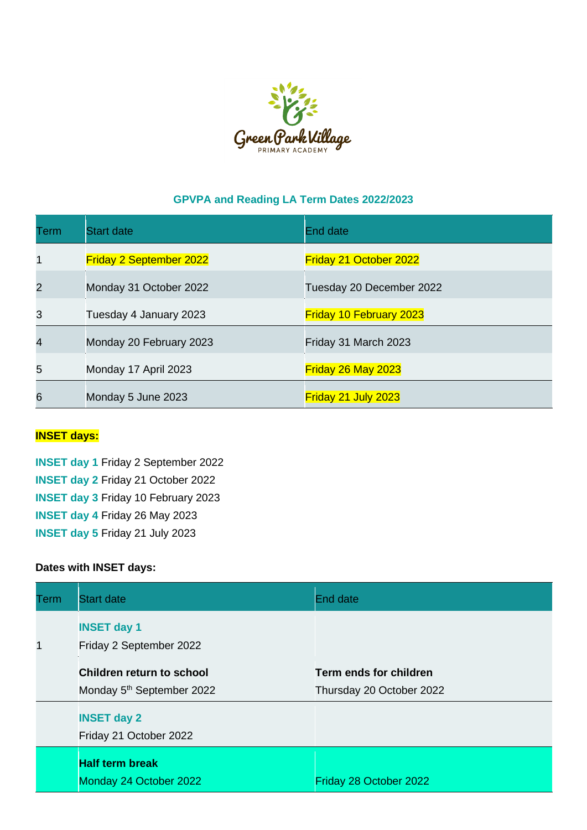

## **GPVPA and Reading LA Term Dates 2022/2023**

| Term | <b>Start date</b>              | End date                       |
|------|--------------------------------|--------------------------------|
| 1    | <b>Friday 2 September 2022</b> | Friday 21 October 2022         |
| 2    | Monday 31 October 2022         | Tuesday 20 December 2022       |
| 3    | Tuesday 4 January 2023         | <b>Friday 10 February 2023</b> |
| 4    | Monday 20 February 2023        | Friday 31 March 2023           |
| 5    | Monday 17 April 2023           | Friday 26 May 2023             |
| 6    | Monday 5 June 2023             | Friday 21 July 2023            |

## **INSET days:**

**INSET day 1** Friday 2 September 2022 **INSET day 2** Friday 21 October 2022 **INSET day 3** Friday 10 February 2023 **INSET day 4** Friday 26 May 2023 **INSET day 5** Friday 21 July 2023

## **Dates with INSET days:**

| Term | <b>Start date</b>                                                  | <b>End date</b>                                    |
|------|--------------------------------------------------------------------|----------------------------------------------------|
| 1    | <b>INSET day 1</b><br>Friday 2 September 2022                      |                                                    |
|      | Children return to school<br>Monday 5 <sup>th</sup> September 2022 | Term ends for children<br>Thursday 20 October 2022 |
|      | <b>INSET day 2</b><br>Friday 21 October 2022                       |                                                    |
|      | <b>Half term break</b><br>Monday 24 October 2022                   | Friday 28 October 2022                             |